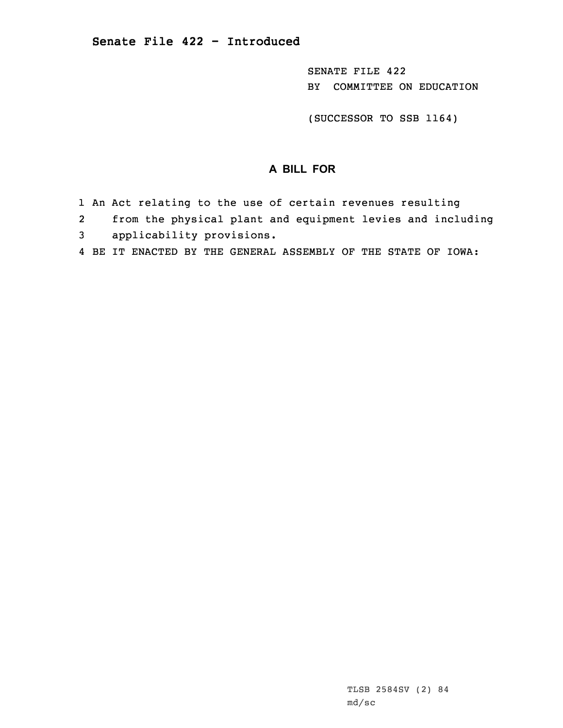SENATE FILE 422 BY COMMITTEE ON EDUCATION

(SUCCESSOR TO SSB 1164)

## **A BILL FOR**

- 1 An Act relating to the use of certain revenues resulting
- 2from the physical plant and equipment levies and including
- 3 applicability provisions.
- 4 BE IT ENACTED BY THE GENERAL ASSEMBLY OF THE STATE OF IOWA: